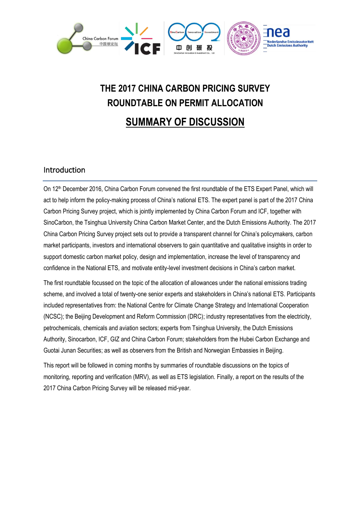

# **THE 2017 CHINA CARBON PRICING SURVEY ROUNDTABLE ON PERMIT ALLOCATION SUMMARY OF DISCUSSION**

## Introduction

On 12<sup>th</sup> December 2016, China Carbon Forum convened the first roundtable of the ETS Expert Panel, which will act to help inform the policy-making process of China's national ETS. The expert panel is part of the 2017 China Carbon Pricing Survey project, which is jointly implemented by China Carbon Forum and ICF, together with SinoCarbon, the Tsinghua University China Carbon Market Center, and the Dutch Emissions Authority. The 2017 China Carbon Pricing Survey project sets out to provide a transparent channel for China's policymakers, carbon market participants, investors and international observers to gain quantitative and qualitative insights in order to support domestic carbon market policy, design and implementation, increase the level of transparency and confidence in the National ETS, and motivate entity-level investment decisions in China's carbon market.

The first roundtable focussed on the topic of the allocation of allowances under the national emissions trading scheme, and involved a total of twenty-one senior experts and stakeholders in China's national ETS. Participants included representatives from: the National Centre for Climate Change Strategy and International Cooperation (NCSC); the Beijing Development and Reform Commission (DRC); industry representatives from the electricity, petrochemicals, chemicals and aviation sectors; experts from Tsinghua University, the Dutch Emissions Authority, Sinocarbon, ICF, GIZ and China Carbon Forum; stakeholders from the Hubei Carbon Exchange and Guotai Junan Securities; as well as observers from the British and Norwegian Embassies in Beijing.

This report will be followed in coming months by summaries of roundtable discussions on the topics of monitoring, reporting and verification (MRV), as well as ETS legislation. Finally, a report on the results of the 2017 China Carbon Pricing Survey will be released mid-year.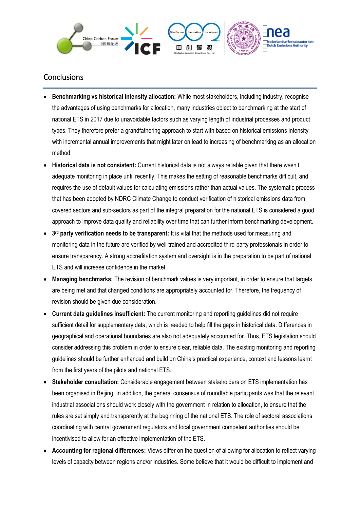

# **Conclusions**

- **Benchmarking vs historical intensity allocation:** While most stakeholders, including industry, recognise the advantages of using benchmarks for allocation, many industries object to benchmarking at the start of national ETS in 2017 due to unavoidable factors such as varying length of industrial processes and product types. They therefore prefer a grandfathering approach to start with based on historical emissions intensity with incremental annual improvements that might later on lead to increasing of benchmarking as an allocation method.
- **Historical data is not consistent:** Current historical data is not always reliable given that there wasn't adequate monitoring in place until recently. This makes the setting of reasonable benchmarks difficult, and requires the use of default values for calculating emissions rather than actual values. The systematic process that has been adopted by NDRC Climate Change to conduct verification of historical emissions data from covered sectors and sub-sectors as part of the integral preparation for the national ETS is considered a good approach to improve data quality and reliability over time that can further inform benchmarking development.
- 3<sup>rd</sup> party verification needs to be transparent: It is vital that the methods used for measuring and monitoring data in the future are verified by well-trained and accredited third-party professionals in order to ensure transparency. A strong accreditation system and oversight is in the preparation to be part of national ETS and will increase confidence in the market.
- **Managing benchmarks:** The revision of benchmark values is very important, in order to ensure that targets are being met and that changed conditions are appropriately accounted for. Therefore, the frequency of revision should be given due consideration.
- **Current data guidelines insufficient:** The current monitoring and reporting guidelines did not require sufficient detail for supplementary data, which is needed to help fill the gaps in historical data. Differences in geographical and operational boundaries are also not adequately accounted for. Thus, ETS legislation should consider addressing this problem in order to ensure clear, reliable data. The existing monitoring and reporting guidelines should be further enhanced and build on China's practical experience, context and lessons learnt from the first years of the pilots and national ETS.
- **Stakeholder consultation:** Considerable engagement between stakeholders on ETS implementation has been organised in Beijing. In addition, the general consensus of roundtable participants was that the relevant industrial associations should work closely with the government in relation to allocation, to ensure that the rules are set simply and transparently at the beginning of the national ETS. The role of sectoral associations coordinating with central government regulators and local government competent authorities should be incentivised to allow for an effective implementation of the ETS.
- **Accounting for regional differences:** Views differ on the question of allowing for allocation to reflect varying levels of capacity between regions and/or industries. Some believe that it would be difficult to implement and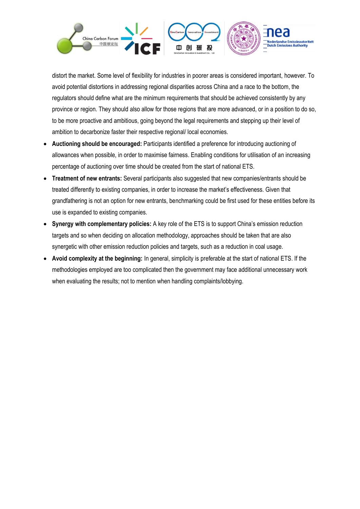

distort the market. Some level of flexibility for industries in poorer areas is considered important, however. To avoid potential distortions in addressing regional disparities across China and a race to the bottom, the regulators should define what are the minimum requirements that should be achieved consistently by any province or region. They should also allow for those regions that are more advanced, or in a position to do so, to be more proactive and ambitious, going beyond the legal requirements and stepping up their level of ambition to decarbonize faster their respective regional/ local economies.

- **Auctioning should be encouraged:** Participants identified a preference for introducing auctioning of allowances when possible, in order to maximise fairness. Enabling conditions for utilisation of an increasing percentage of auctioning over time should be created from the start of national ETS.
- **Treatment of new entrants:** Several participants also suggested that new companies/entrants should be treated differently to existing companies, in order to increase the market's effectiveness. Given that grandfathering is not an option for new entrants, benchmarking could be first used for these entities before its use is expanded to existing companies.
- **Synergy with complementary policies:** A key role of the ETS is to support China's emission reduction targets and so when deciding on allocation methodology, approaches should be taken that are also synergetic with other emission reduction policies and targets, such as a reduction in coal usage.
- **Avoid complexity at the beginning:** In general, simplicity is preferable at the start of national ETS. If the methodologies employed are too complicated then the government may face additional unnecessary work when evaluating the results; not to mention when handling complaints/lobbying.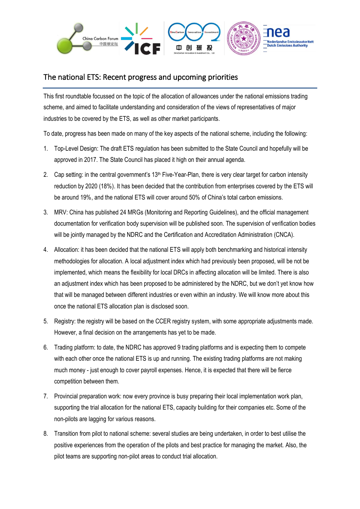

# The national ETS: Recent progress and upcoming priorities

This first roundtable focussed on the topic of the allocation of allowances under the national emissions trading scheme, and aimed to facilitate understanding and consideration of the views of representatives of major industries to be covered by the ETS, as well as other market participants.

To date, progress has been made on many of the key aspects of the national scheme, including the following:

- 1. Top-Level Design: The draft ETS regulation has been submitted to the State Council and hopefully will be approved in 2017. The State Council has placed it high on their annual agenda.
- 2. Cap setting: in the central government's 13<sup>th</sup> Five-Year-Plan, there is very clear target for carbon intensity reduction by 2020 (18%). It has been decided that the contribution from enterprises covered by the ETS will be around 19%, and the national ETS will cover around 50% of China's total carbon emissions.
- 3. MRV: China has published 24 MRGs (Monitoring and Reporting Guidelines), and the official management documentation for verification body supervision will be published soon. The supervision of verification bodies will be jointly managed by the NDRC and the Certification and Accreditation Administration (CNCA).
- 4. Allocation: it has been decided that the national ETS will apply both benchmarking and historical intensity methodologies for allocation. A local adjustment index which had previously been proposed, will be not be implemented, which means the flexibility for local DRCs in affecting allocation will be limited. There is also an adjustment index which has been proposed to be administered by the NDRC, but we don't yet know how that will be managed between different industries or even within an industry. We will know more about this once the national ETS allocation plan is disclosed soon.
- 5. Registry: the registry will be based on the CCER registry system, with some appropriate adjustments made. However, a final decision on the arrangements has yet to be made.
- 6. Trading platform: to date, the NDRC has approved 9 trading platforms and is expecting them to compete with each other once the national ETS is up and running. The existing trading platforms are not making much money - just enough to cover payroll expenses. Hence, it is expected that there will be fierce competition between them.
- 7. Provincial preparation work: now every province is busy preparing their local implementation work plan, supporting the trial allocation for the national ETS, capacity building for their companies etc. Some of the non-pilots are lagging for various reasons.
- 8. Transition from pilot to national scheme: several studies are being undertaken, in order to best utilise the positive experiences from the operation of the pilots and best practice for managing the market. Also, the pilot teams are supporting non-pilot areas to conduct trial allocation.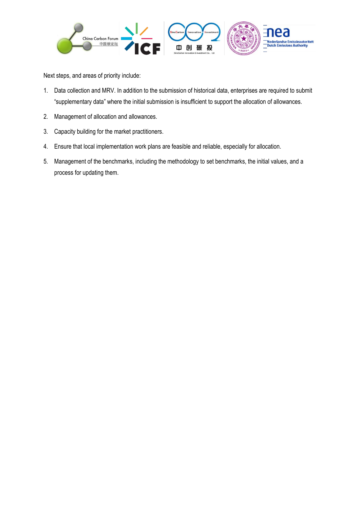

Next steps, and areas of priority include:

- 1. Data collection and MRV. In addition to the submission of historical data, enterprises are required to submit "supplementary data" where the initial submission is insufficient to support the allocation of allowances.
- 2. Management of allocation and allowances.
- 3. Capacity building for the market practitioners.
- 4. Ensure that local implementation work plans are feasible and reliable, especially for allocation.
- 5. Management of the benchmarks, including the methodology to set benchmarks, the initial values, and a process for updating them.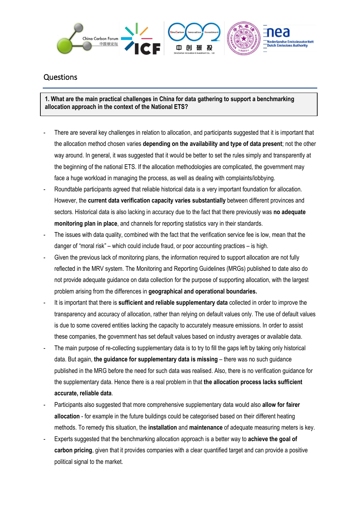

# Questions

**1. What are the main practical challenges in China for data gathering to support a benchmarking allocation approach in the context of the National ETS?**

- There are several key challenges in relation to allocation, and participants suggested that it is important that the allocation method chosen varies **depending on the availability and type of data present**; not the other way around. In general, it was suggested that it would be better to set the rules simply and transparently at the beginning of the national ETS. If the allocation methodologies are complicated, the government may face a huge workload in managing the process, as well as dealing with complaints/lobbying.
- Roundtable participants agreed that reliable historical data is a very important foundation for allocation. However, the **current data verification capacity varies substantially** between different provinces and sectors. Historical data is also lacking in accuracy due to the fact that there previously was **no adequate monitoring plan in place**, and channels for reporting statistics vary in their standards.
- The issues with data quality, combined with the fact that the verification service fee is low, mean that the danger of "moral risk" – which could include fraud, or poor accounting practices – is high.
- Given the previous lack of monitoring plans, the information required to support allocation are not fully reflected in the MRV system. The Monitoring and Reporting Guidelines (MRGs) published to date also do not provide adequate guidance on data collection for the purpose of supporting allocation, with the largest problem arising from the differences in **geographical and operational boundaries.**
- It is important that there is **sufficient and reliable supplementary data** collected in order to improve the transparency and accuracy of allocation, rather than relying on default values only. The use of default values is due to some covered entities lacking the capacity to accurately measure emissions. In order to assist these companies, the government has set default values based on industry averages or available data.
- The main purpose of re-collecting supplementary data is to try to fill the gaps left by taking only historical data. But again, **the guidance for supplementary data is missing** – there was no such guidance published in the MRG before the need for such data was realised. Also, there is no verification guidance for the supplementary data. Hence there is a real problem in that **the allocation process lacks sufficient accurate, reliable data**.
- Participants also suggested that more comprehensive supplementary data would also **allow for fairer allocation** - for example in the future buildings could be categorised based on their different heating methods. To remedy this situation, the **installation** and **maintenance** of adequate measuring meters is key.
- Experts suggested that the benchmarking allocation approach is a better way to achieve the goal of **carbon pricing**, given that it provides companies with a clear quantified target and can provide a positive political signal to the market.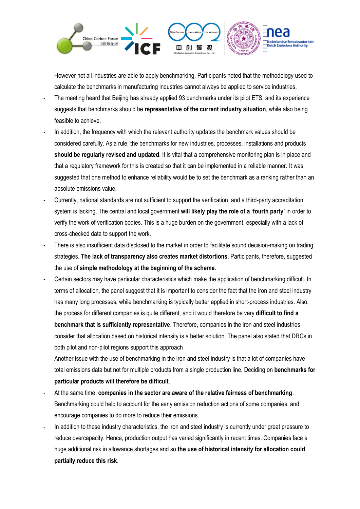

- However not all industries are able to apply benchmarking. Participants noted that the methodology used to calculate the benchmarks in manufacturing industries cannot always be applied to service industries.
- The meeting heard that Beijing has already applied 93 benchmarks under its pilot ETS, and its experience suggests that benchmarks should be **representative of the current industry situation**, while also being feasible to achieve.
- In addition, the frequency with which the relevant authority updates the benchmark values should be considered carefully. As a rule, the benchmarks for new industries, processes, installations and products **should be regularly revised and updated**. It is vital that a comprehensive monitoring plan is in place and that a regulatory framework for this is created so that it can be implemented in a reliable manner. It was suggested that one method to enhance reliability would be to set the benchmark as a ranking rather than an absolute emissions value.
- Currently, national standards are not sufficient to support the verification, and a third-party accreditation system is lacking. The central and local government **will likely play the role of a 'fourth party'** in order to verify the work of verification bodies. This is a huge burden on the government, especially with a lack of cross-checked data to support the work.
- There is also insufficient data disclosed to the market in order to facilitate sound decision-making on trading strategies. **The lack of transparency also creates market distortions**. Participants, therefore, suggested the use of **simple methodology at the beginning of the scheme**.
- Certain sectors may have particular characteristics which make the application of benchmarking difficult. In terms of allocation, the panel suggest that it is important to consider the fact that the iron and steel industry has many long processes, while benchmarking is typically better applied in short-process industries. Also, the process for different companies is quite different, and it would therefore be very **difficult to find a benchmark that is sufficiently representative**. Therefore, companies in the iron and steel industries consider that allocation based on historical intensity is a better solution. The panel also stated that DRCs in both pilot and non-pilot regions support this approach
- Another issue with the use of benchmarking in the iron and steel industry is that a lot of companies have total emissions data but not for multiple products from a single production line. Deciding on **benchmarks for particular products will therefore be difficult**.
- At the same time, **companies in the sector are aware of the relative fairness of benchmarking**. Benchmarking could help to account for the early emission reduction actions of some companies, and encourage companies to do more to reduce their emissions.
- In addition to these industry characteristics, the iron and steel industry is currently under great pressure to reduce overcapacity. Hence, production output has varied significantly in recent times. Companies face a huge additional risk in allowance shortages and so **the use of historical intensity for allocation could partially reduce this risk**.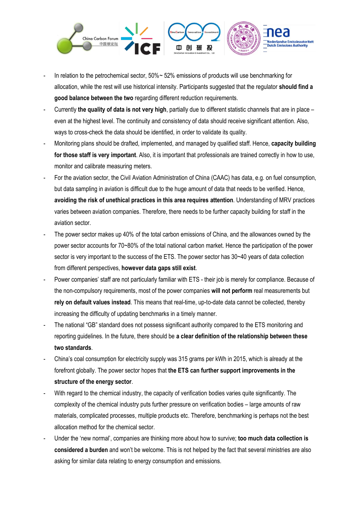

- In relation to the petrochemical sector, 50%~ 52% emissions of products will use benchmarking for allocation, while the rest will use historical intensity. Participants suggested that the regulator **should find a good balance between the two** regarding different reduction requirements.
- Currently **the quality of data is not very high**, partially due to different statistic channels that are in place even at the highest level. The continuity and consistency of data should receive significant attention. Also, ways to cross-check the data should be identified, in order to validate its quality.
- Monitoring plans should be drafted, implemented, and managed by qualified staff. Hence, **capacity building for those staff is very important**. Also, it is important that professionals are trained correctly in how to use, monitor and calibrate measuring meters.
- For the aviation sector, the Civil Aviation Administration of China (CAAC) has data, e.g. on fuel consumption, but data sampling in aviation is difficult due to the huge amount of data that needs to be verified. Hence, **avoiding the risk of unethical practices in this area requires attention**. Understanding of MRV practices varies between aviation companies. Therefore, there needs to be further capacity building for staff in the aviation sector.
- The power sector makes up 40% of the total carbon emissions of China, and the allowances owned by the power sector accounts for 70~80% of the total national carbon market. Hence the participation of the power sector is very important to the success of the ETS. The power sector has  $30-40$  years of data collection from different perspectives, **however data gaps still exist**.
- Power companies' staff are not particularly familiar with ETS their job is merely for compliance. Because of the non-compulsory requirements, most of the power companies **will not perform** real measurements but **rely on default values instead**. This means that real-time, up-to-date data cannot be collected, thereby increasing the difficulty of updating benchmarks in a timely manner.
- The national "GB" standard does not possess significant authority compared to the ETS monitoring and reporting guidelines. In the future, there should be **a clear definition of the relationship between these two standards**.
- China's coal consumption for electricity supply was 315 grams per kWh in 2015, which is already at the forefront globally. The power sector hopes that **the ETS can further support improvements in the structure of the energy sector**.
- With regard to the chemical industry, the capacity of verification bodies varies quite significantly. The complexity of the chemical industry puts further pressure on verification bodies – large amounts of raw materials, complicated processes, multiple products etc. Therefore, benchmarking is perhaps not the best allocation method for the chemical sector.
- Under the 'new normal', companies are thinking more about how to survive; **too much data collection is considered a burden** and won't be welcome. This is not helped by the fact that several ministries are also asking for similar data relating to energy consumption and emissions.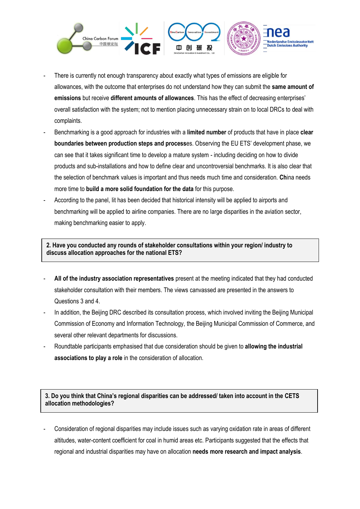

- There is currently not enough transparency about exactly what types of emissions are eligible for allowances, with the outcome that enterprises do not understand how they can submit the **same amount of emissions** but receive **different amounts of allowances**. This has the effect of decreasing enterprises' overall satisfaction with the system; not to mention placing unnecessary strain on to local DRCs to deal with complaints.
- Benchmarking is a good approach for industries with a **limited number** of products that have in place **clear boundaries between production steps and process**es. Observing the EU ETS' development phase, we can see that it takes significant time to develop a mature system - including deciding on how to divide products and sub-installations and how to define clear and uncontroversial benchmarks. It is also clear that the selection of benchmark values is important and thus needs much time and consideration. **Ch**ina needs more time to **build a more solid foundation for the data** for this purpose.
- According to the panel, Iit has been decided that historical intensity will be applied to airports and benchmarking will be applied to airline companies. There are no large disparities in the aviation sector, making benchmarking easier to apply.

**2. Have you conducted any rounds of stakeholder consultations within your region/ industry to discuss allocation approaches for the national ETS?**

- **All of the industry association representatives** present at the meeting indicated that they had conducted stakeholder consultation with their members. The views canvassed are presented in the answers to Questions 3 and 4.
- In addition, the Beijing DRC described its consultation process, which involved inviting the Beijing Municipal Commission of Economy and Information Technology, the Beijing Municipal Commission of Commerce, and several other relevant departments for discussions.
- Roundtable participants emphasised that due consideration should be given to **allowing the industrial associations to play a role** in the consideration of allocation.

**3. Do you think that China's regional disparities can be addressed/ taken into account in the CETS allocation methodologies?**

- Consideration of regional disparities may include issues such as varying oxidation rate in areas of different altitudes, water-content coefficient for coal in humid areas etc. Participants suggested that the effects that regional and industrial disparities may have on allocation **needs more research and impact analysis**.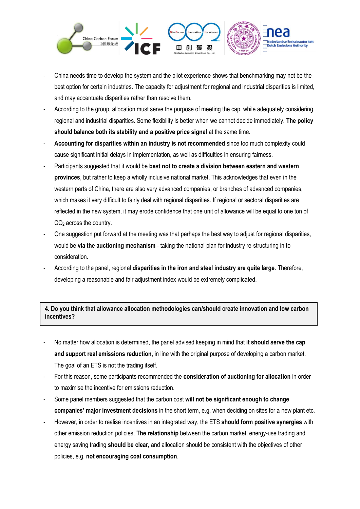

- China needs time to develop the system and the pilot experience shows that benchmarking may not be the best option for certain industries. The capacity for adjustment for regional and industrial disparities is limited, and may accentuate disparities rather than resolve them.
- According to the group, allocation must serve the purpose of meeting the cap, while adequately considering regional and industrial disparities. Some flexibility is better when we cannot decide immediately. **The policy should balance both its stability and a positive price signal** at the same time.
- **Accounting for disparities within an industry is not recommended** since too much complexity could cause significant initial delays in implementation, as well as difficulties in ensuring fairness.
- Participants suggested that it would be **best not to create a division between eastern and western provinces**, but rather to keep a wholly inclusive national market. This acknowledges that even in the western parts of China, there are also very advanced companies, or branches of advanced companies, which makes it very difficult to fairly deal with regional disparities. If regional or sectoral disparities are reflected in the new system, it may erode confidence that one unit of allowance will be equal to one ton of CO<sup>2</sup> across the country.
- One suggestion put forward at the meeting was that perhaps the best way to adjust for regional disparities, would be **via the auctioning mechanism** - taking the national plan for industry re-structuring in to consideration.
- According to the panel, regional **disparities in the iron and steel industry are quite large**. Therefore, developing a reasonable and fair adjustment index would be extremely complicated.

#### **4. Do you think that allowance allocation methodologies can/should create innovation and low carbon incentives?**

- No matter how allocation is determined, the panel advised keeping in mind that **it should serve the cap and support real emissions reduction**, in line with the original purpose of developing a carbon market. The goal of an ETS is not the trading itself.
- For this reason, some participants recommended the **consideration of auctioning for allocation** in order to maximise the incentive for emissions reduction.
- Some panel members suggested that the carbon cost **will not be significant enough to change companies' major investment decisions** in the short term, e.g. when deciding on sites for a new plant etc.
- However, in order to realise incentives in an integrated way, the ETS **should form positive synergies** with other emission reduction policies. **The relationship** between the carbon market, energy-use trading and energy saving trading **should be clear,** and allocation should be consistent with the objectives of other policies, e.g. **not encouraging coal consumption**.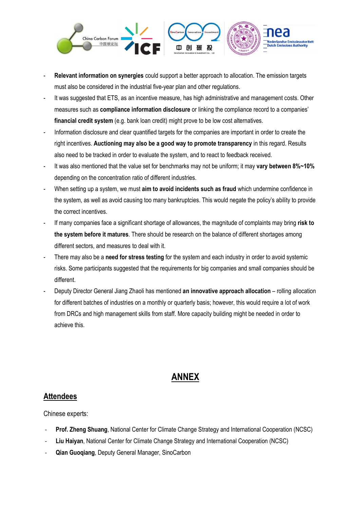

- **Relevant information on synergies** could support a better approach to allocation. The emission targets must also be considered in the industrial five-year plan and other regulations.
- It was suggested that ETS, as an incentive measure, has high administrative and management costs. Other measures such as **compliance information disclosure** or linking the compliance record to a companies' **financial credit system** (e.g. bank loan credit) might prove to be low cost alternatives.
- Information disclosure and clear quantified targets for the companies are important in order to create the right incentives. **Auctioning may also be a good way to promote transparency** in this regard. Results also need to be tracked in order to evaluate the system, and to react to feedback received.
- It was also mentioned that the value set for benchmarks may not be uniform; it may **vary between 8%~10%** depending on the concentration ratio of different industries.
- When setting up a system, we must **aim to avoid incidents such as fraud** which undermine confidence in the system, as well as avoid causing too many bankruptcies. This would negate the policy's ability to provide the correct incentives.
- If many companies face a significant shortage of allowances, the magnitude of complaints may bring risk to **the system before it matures**. There should be research on the balance of different shortages among different sectors, and measures to deal with it.
- There may also be a **need for stress testing** for the system and each industry in order to avoid systemic risks. Some participants suggested that the requirements for big companies and small companies should be different.
- Deputy Director General Jiang Zhaoli has mentioned **an innovative approach allocation** rolling allocation for different batches of industries on a monthly or quarterly basis; however, this would require a lot of work from DRCs and high management skills from staff. More capacity building might be needed in order to achieve this.

# **ANNEX**

# **Attendees**

Chinese experts:

- **Prof. Zheng Shuang**, National Center for Climate Change Strategy and International Cooperation (NCSC)
- **Liu Haiyan**, National Center for Climate Change Strategy and International Cooperation (NCSC)
- **Qian Guoqiang**, Deputy General Manager, SinoCarbon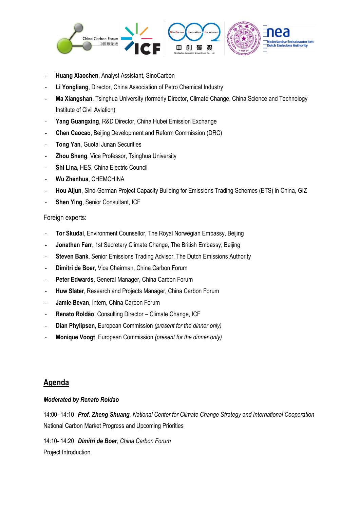

- **Huang Xiaochen**, Analyst Assistant, SinoCarbon
- **Li Yongliang**, Director, China Association of Petro Chemical Industry
- Ma Xiangshan, Tsinghua University (formerly Director, Climate Change, China Science and Technology Institute of Civil Aviation)
- Yang Guangxing, R&D Director, China Hubei Emission Exchange
- **Chen Caocao**, Beijing Development and Reform Commission (DRC)
- **Tong Yan**, Guotai Junan Securities
- **Zhou Sheng, Vice Professor, Tsinghua University**
- **Shi Lina, HES, China Electric Council**
- **Wu Zhenhua**, CHEMCHINA
- **Hou Aijun**, Sino-German Project Capacity Building for Emissions Trading Schemes (ETS) in China, GIZ
- **Shen Ying, Senior Consultant, ICF**

Foreign experts:

- Tor Skudal, Environment Counsellor, The Royal Norwegian Embassy, Beijing
- **Jonathan Farr**, 1st Secretary Climate Change, The British Embassy, Beijing
- **Steven Bank**, Senior Emissions Trading Advisor, The Dutch Emissions Authority
- **Dimitri de Boer**, Vice Chairman, China Carbon Forum
- Peter Edwards, General Manager, China Carbon Forum
- **Huw Slater**, Research and Projects Manager, China Carbon Forum
- **Jamie Bevan**, Intern, China Carbon Forum
- **Renato Roldão**, Consulting Director Climate Change, ICF
- **Dian Phylipsen**, European Commission *(present for the dinner only)*
- **Monique Voogt**, European Commission *(present for the dinner only)*

### **Agenda**

#### *Moderated by Renato Roldao*

14:00- 14:10 *Prof. Zheng Shuang, National Center for Climate Change Strategy and International Cooperation* National Carbon Market Progress and Upcoming Priorities

14:10- 14:20 *Dimitri de Boer, China Carbon Forum* Project Introduction